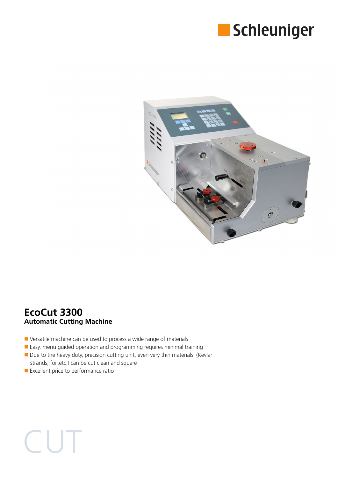



## **EcoCut 3300 Automatic Cutting Machine**

- Versatile machine can be used to process a wide range of materials
- Easy, menu guided operation and programming requires minimal training
- Due to the heavy duty, precision cutting unit, even very thin materials (Kevlar strands, foil,etc.) can be cut clean and square
- Excellent price to performance ratio

**CUT**